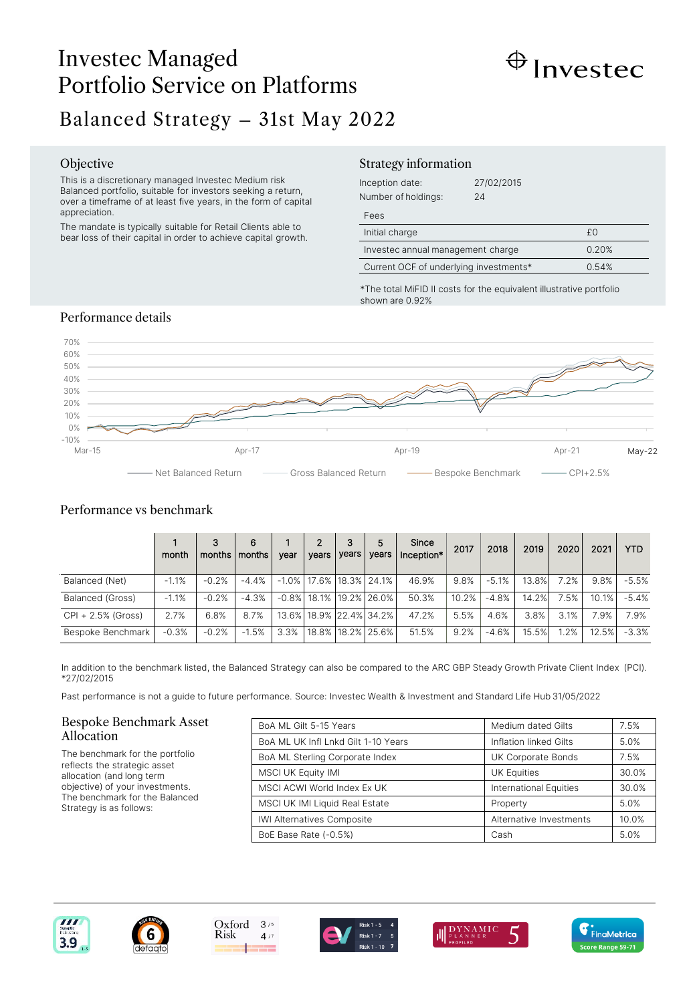# Investec Managed Portfolio Service on Platforms Balanced Strategy – 31st May 2022



# Objective

This is a discretionary managed Investec Medium risk Balanced portfolio, suitable for investors seeking a return, over a timeframe of at least five years, in the form of capital appreciation.

The mandate is typically suitable for Retail Clients able to bear loss of their capital in order to achieve capital growth.

## Strategy information

| Inception date:<br>Number of holdings: | 27/02/2015<br>24 |       |
|----------------------------------------|------------------|-------|
| Fees                                   |                  |       |
| Initial charge                         |                  | £0    |
| Investec annual management charge      |                  | 0.20% |
| Current OCF of underlying investments* |                  | 0.54% |

\*The total MiFID II costs for the equivalent illustrative portfolio shown are 0.92%

# Performance details



# Performance vs benchmark

|                    | month   | 3<br>months   months | 6       | vear    | $\overline{2}$<br>vears | 3<br>years | 5<br>vears                       | Since<br>Inception* | 2017  | 2018    | 2019  | 2020 | 2021  | <b>YTD</b> |
|--------------------|---------|----------------------|---------|---------|-------------------------|------------|----------------------------------|---------------------|-------|---------|-------|------|-------|------------|
| Balanced (Net)     | $-1.1%$ | $-0.2%$              | $-4.4%$ |         |                         |            | $-1.0\%$   17.6%   18.3%   24.1% | 46.9%               | 9.8%  | $-5.1%$ | 13.8% | 7.2% | 9.8%  | $-5.5%$    |
| Balanced (Gross)   | $-1.1%$ | $-0.2%$              | $-4.3%$ |         |                         |            | -0.8% 18.1% 19.2% 26.0%          | 50.3%               | 10.2% | $-4.8%$ | 14.2% | 7.5% | 10.1% | $-5.4%$    |
| CPI + 2.5% (Gross) | 2.7%    | 6.8%                 | 8.7%    |         |                         |            | 13.6% 18.9% 22.4% 34.2%          | 47.2%               | 5.5%  | 4.6%    | 3.8%  | 3.1% | 7.9%  | 7.9%       |
| Bespoke Benchmark  | $-0.3%$ | $-0.2%$              | $-1.5%$ | $3.3\%$ |                         |            | 18.8%   18.2%   25.6%            | 51.5%               | 9.2%  | $-4.6%$ | 15.5% | 1.2% | 12.5% | $-3.3%$    |

In addition to the benchmark listed, the Balanced Strategy can also be compared to the ARC GBP Steady Growth Private Client Index (PCI). \*27/02/2015

Past performance is not a guide to future performance. Source: Investec Wealth & Investment and Standard Life Hub 31/05/2022

### Bespoke Benchmark Asset Allocation

The benchmark for the portfolio reflects the strategic asset allocation (and long term objective) of your investments. The benchmark for the Balanced Strategy is as follows:

| BoA ML Gilt 5-15 Years              | Medium dated Gilts            | 7.5%  |
|-------------------------------------|-------------------------------|-------|
| BoA ML UK Infl Lnkd Gilt 1-10 Years | Inflation linked Gilts        | 5.0%  |
| BoA ML Sterling Corporate Index     | UK Corporate Bonds            | 7.5%  |
| <b>MSCI UK Equity IMI</b>           | <b>UK Equities</b>            | 30.0% |
| MSCI ACWI World Index Ex UK         | <b>International Equities</b> | 30.0% |
| MSCI UK IMI Liquid Real Estate      | Property                      | 5.0%  |
| <b>IWI Alternatives Composite</b>   | Alternative Investments       | 10.0% |
| BoE Base Rate (-0.5%)               | Cash                          | 5.0%  |







 $4/7$